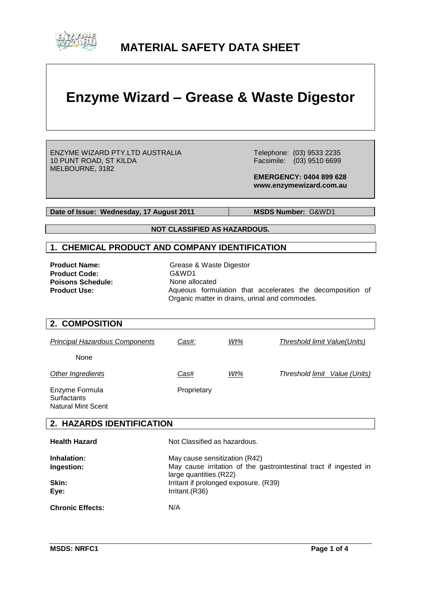

# **MATERIAL SAFETY DATA SHEET**

# **Enzyme Wizard – Grease & Waste Digestor**

ENZYME WIZARD PTY.LTD AUSTRALIA 10 PUNT ROAD, ST KILDA MELBOURNE, 3182

 Telephone: (03) 9533 2235 Facsimile: (03) 9510 6699

 **EMERGENCY: 0404 899 628 www.enzymewizard.com.au**

**Date of Issue: Wednesday, 17 August 2011** MSDS Number: G&WD1

**NOT CLASSIFIED AS HAZARDOUS.**

#### **1. CHEMICAL PRODUCT AND COMPANY IDENTIFICATION**

**Product Code:** G&WD1<br> **Poisons Schedule:** None allocated **Poisons Schedule:<br>Product Use:** 

**Product Name:** Grease & Waste Digestor Aqueous formulation that accelerates the decomposition of Organic matter in drains, urinal and commodes.

#### **2. COMPOSITION**

| <b>Principal Hazardous Components</b> | Cas#:       | Wt% | Threshold limit Value(Units)  |
|---------------------------------------|-------------|-----|-------------------------------|
| None                                  |             |     |                               |
| Other Ingredients                     | Cas#        | Wt% | Threshold limit Value (Units) |
| Enzyme Formula<br>Surfactants         | Proprietary |     |                               |

Surfactants Natural Mint Scent

#### **2. HAZARDS IDENTIFICATION**

| <b>Health Hazard</b>    | Not Classified as hazardous.                                                                 |
|-------------------------|----------------------------------------------------------------------------------------------|
| Inhalation:             | May cause sensitization (R42)                                                                |
| Ingestion:              | May cause irritation of the gastrointestinal tract if ingested in<br>large quantities. (R22) |
| Skin:                   | Irritant if prolonged exposure. (R39)                                                        |
| Eye:                    | Irritant.(R36)                                                                               |
| <b>Chronic Effects:</b> | N/A                                                                                          |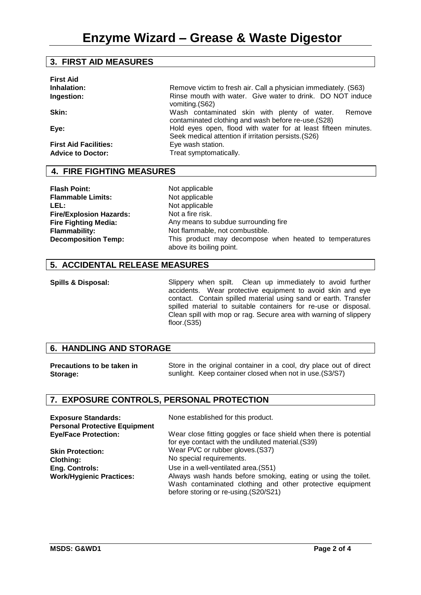#### **3. FIRST AID MEASURES**

| <b>First Aid</b><br>Inhalation:<br>Ingestion: | Remove victim to fresh air. Call a physician immediately. (S63)<br>Rinse mouth with water. Give water to drink. DO NOT induce |
|-----------------------------------------------|-------------------------------------------------------------------------------------------------------------------------------|
|                                               | vomiting.(S62)                                                                                                                |
| Skin:                                         | Wash contaminated skin with plenty of water.<br>Remove<br>contaminated clothing and wash before re-use. (S28)                 |
| Eye:                                          | Hold eyes open, flood with water for at least fifteen minutes.<br>Seek medical attention if irritation persists. (S26)        |
| <b>First Aid Facilities:</b>                  | Eye wash station.                                                                                                             |
| <b>Advice to Doctor:</b>                      | Treat symptomatically.                                                                                                        |

#### **4. FIRE FIGHTING MEASURES**

**Flash Point:** Not applicable<br> **Flammable Limits:** Not applicable **Flammable Limits:** LEL: Not applicable **Fire/Explosion Hazards: Fire Fighting Media:**

Not a fire risk. Any means to subdue surrounding fire **Flammability:** Not flammable, not combustible. **Decomposition Temp:** This product may decompose when heated to temperatures above its boiling point.

#### **5. ACCIDENTAL RELEASE MEASURES**

**Spills & Disposal:** Slippery when spilt. Clean up immediately to avoid further accidents. Wear protective equipment to avoid skin and eye contact. Contain spilled material using sand or earth. Transfer spilled material to suitable containers for re-use or disposal. Clean spill with mop or rag. Secure area with warning of slippery floor.(S35)

#### **6. HANDLING AND STORAGE**

| <b>Precautions to be taken in</b> | Store in the original container in a cool, dry place out of direct |
|-----------------------------------|--------------------------------------------------------------------|
| Storage:                          | sunlight. Keep container closed when not in use. (S3/S7)           |

#### **7. EXPOSURE CONTROLS, PERSONAL PROTECTION**

| <b>Exposure Standards:</b><br><b>Personal Protective Equipment</b> | None established for this product.                                                                                                                                 |
|--------------------------------------------------------------------|--------------------------------------------------------------------------------------------------------------------------------------------------------------------|
| <b>Eye/Face Protection:</b>                                        | Wear close fitting goggles or face shield when there is potential<br>for eye contact with the undiluted material. (S39)                                            |
| <b>Skin Protection:</b>                                            | Wear PVC or rubber gloves. (S37)                                                                                                                                   |
| <b>Clothing:</b>                                                   | No special requirements.                                                                                                                                           |
| <b>Eng. Controls:</b>                                              | Use in a well-ventilated area. (S51)                                                                                                                               |
| <b>Work/Hygienic Practices:</b>                                    | Always wash hands before smoking, eating or using the toilet.<br>Wash contaminated clothing and other protective equipment<br>before storing or re-using.(S20/S21) |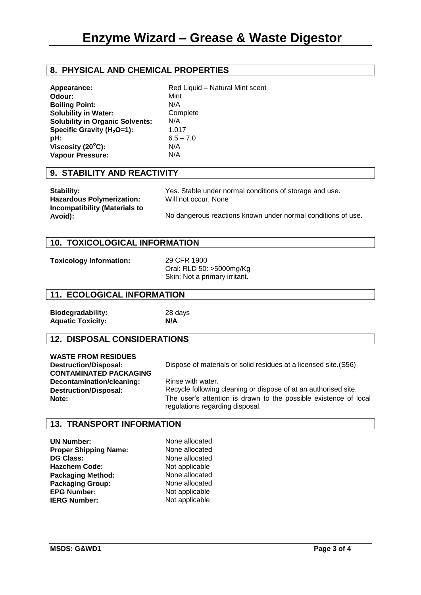### **8. PHYSICAL AND CHEMICAL PROPERTIES**

| Appearance:                            | Red Liquid - Natural Mint scent |
|----------------------------------------|---------------------------------|
| Odour:                                 | Mint                            |
| <b>Boiling Point:</b>                  | N/A                             |
|                                        | Complete                        |
| <b>Solubility in Water:</b>            |                                 |
| <b>Solubility in Organic Solvents:</b> | N/A                             |
| Specific Gravity $(H2O=1)$ :           | 1.017                           |
| pH:                                    | $6.5 - 7.0$                     |
| Viscosity (20°C):                      | N/A                             |
| Vapour Pressure:                       | N/A                             |

#### **9. STABILITY AND REACTIVITY**

| <b>Stability:</b>                        | Yes. Stable under normal conditions of storage and use.      |
|------------------------------------------|--------------------------------------------------------------|
| <b>Hazardous Polymerization:</b>         | Will not occur. None                                         |
| Incompatibility (Materials to<br>Avoid): | No dangerous reactions known under normal conditions of use. |

#### **10. TOXICOLOGICAL INFORMATION**

**Toxicology Information:** 29 CFR 1900

Oral: RLD 50: >5000mg/Kg Skin: Not a primary irritant.

#### **11. ECOLOGICAL INFORMATION**

**Biodegradability:** 28 days **Aquatic Toxicity: N/A**

#### **12. DISPOSAL CONSIDERATIONS**

| <b>WASTE FROM RESIDUES</b>    |
|-------------------------------|
| <b>Destruction/Disposal:</b>  |
| <b>CONTAMINATED PACKAGING</b> |
| Decontamination/cleaning:     |
| <b>Destruction/Disposal:</b>  |
| Note:                         |

Dispose of materials or solid residues at a licensed site.(S56)

Rinse with water. Recycle following cleaning or dispose of at an authorised site. The user's attention is drawn to the possible existence of local regulations regarding disposal.

#### **13. TRANSPORT INFORMATION**

**UN Number:** None allocated **Proper Shipping Name:** None allocated **DG Class:** None allocated **Hazchem Code:** Not applicable<br> **Packaging Method:** None allocated **Packaging Method:** None allocated<br> **Packaging Group:** None allocated **Packaging Group: EPG Number:** Not applicable **IERG Number:** Not applicable